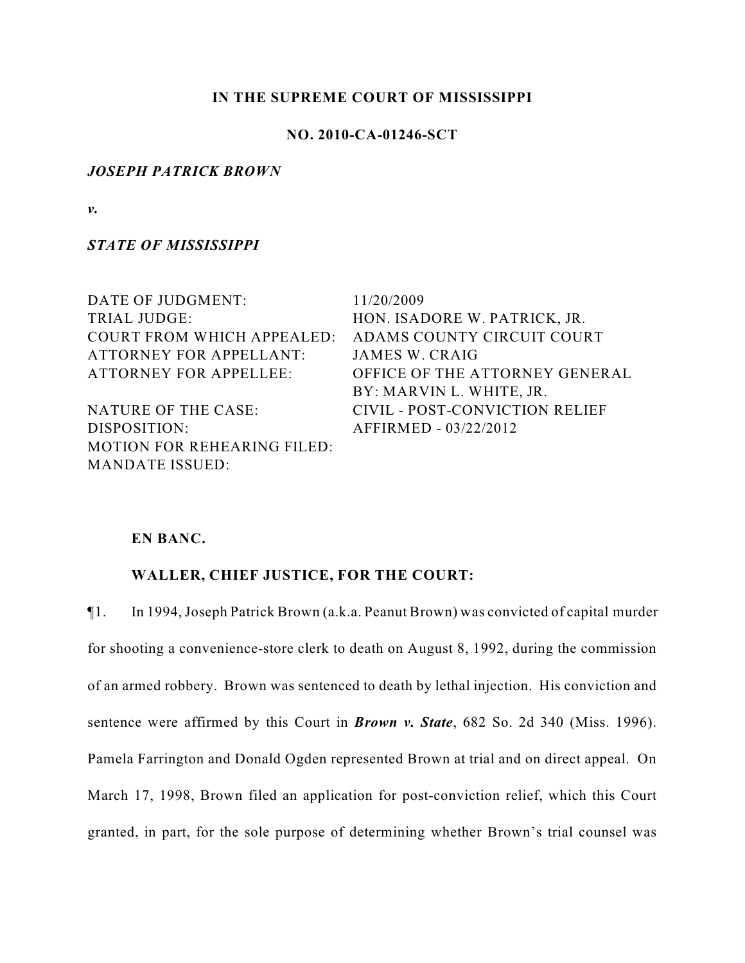# **IN THE SUPREME COURT OF MISSISSIPPI**

# **NO. 2010-CA-01246-SCT**

#### *JOSEPH PATRICK BROWN*

*v.*

*STATE OF MISSISSIPPI*

| DATE OF JUDGMENT:                  | 11/20/2009                     |
|------------------------------------|--------------------------------|
| TRIAL JUDGE:                       | HON. ISADORE W. PATRICK, JR.   |
| <b>COURT FROM WHICH APPEALED:</b>  | ADAMS COUNTY CIRCUIT COURT     |
| <b>ATTORNEY FOR APPELLANT:</b>     | <b>JAMES W. CRAIG</b>          |
| <b>ATTORNEY FOR APPELLEE:</b>      | OFFICE OF THE ATTORNEY GENERAL |
|                                    | BY: MARVIN L. WHITE, JR.       |
| NATURE OF THE CASE:                | CIVIL - POST-CONVICTION RELIEF |
| DISPOSITION:                       | AFFIRMED - 03/22/2012          |
| <b>MOTION FOR REHEARING FILED:</b> |                                |
| <b>MANDATE ISSUED:</b>             |                                |

# **EN BANC.**

# **WALLER, CHIEF JUSTICE, FOR THE COURT:**

¶1. In 1994, Joseph Patrick Brown (a.k.a. Peanut Brown) was convicted of capital murder for shooting a convenience-store clerk to death on August 8, 1992, during the commission of an armed robbery. Brown was sentenced to death by lethal injection. His conviction and sentence were affirmed by this Court in *Brown v. State*, 682 So. 2d 340 (Miss. 1996). Pamela Farrington and Donald Ogden represented Brown at trial and on direct appeal. On March 17, 1998, Brown filed an application for post-conviction relief, which this Court granted, in part, for the sole purpose of determining whether Brown's trial counsel was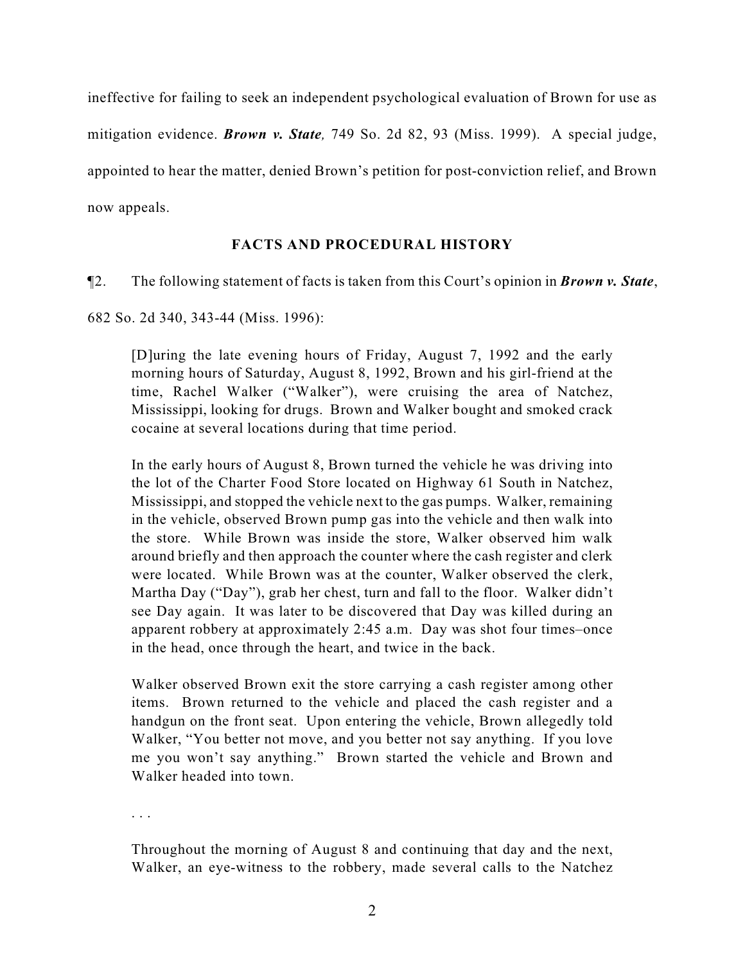ineffective for failing to seek an independent psychological evaluation of Brown for use as mitigation evidence. *Brown v. State,* 749 So. 2d 82, 93 (Miss. 1999). A special judge, appointed to hear the matter, denied Brown's petition for post-conviction relief, and Brown now appeals.

# **FACTS AND PROCEDURAL HISTORY**

¶2. The following statement of facts is taken from this Court's opinion in *Brown v. State*,

682 So. 2d 340, 343-44 (Miss. 1996):

[D]uring the late evening hours of Friday, August 7, 1992 and the early morning hours of Saturday, August 8, 1992, Brown and his girl-friend at the time, Rachel Walker ("Walker"), were cruising the area of Natchez, Mississippi, looking for drugs. Brown and Walker bought and smoked crack cocaine at several locations during that time period.

In the early hours of August 8, Brown turned the vehicle he was driving into the lot of the Charter Food Store located on Highway 61 South in Natchez, Mississippi, and stopped the vehicle next to the gas pumps. Walker, remaining in the vehicle, observed Brown pump gas into the vehicle and then walk into the store. While Brown was inside the store, Walker observed him walk around briefly and then approach the counter where the cash register and clerk were located. While Brown was at the counter, Walker observed the clerk, Martha Day ("Day"), grab her chest, turn and fall to the floor. Walker didn't see Day again. It was later to be discovered that Day was killed during an apparent robbery at approximately 2:45 a.m. Day was shot four times–once in the head, once through the heart, and twice in the back.

Walker observed Brown exit the store carrying a cash register among other items. Brown returned to the vehicle and placed the cash register and a handgun on the front seat. Upon entering the vehicle, Brown allegedly told Walker, "You better not move, and you better not say anything. If you love me you won't say anything." Brown started the vehicle and Brown and Walker headed into town.

. . .

Throughout the morning of August 8 and continuing that day and the next, Walker, an eye-witness to the robbery, made several calls to the Natchez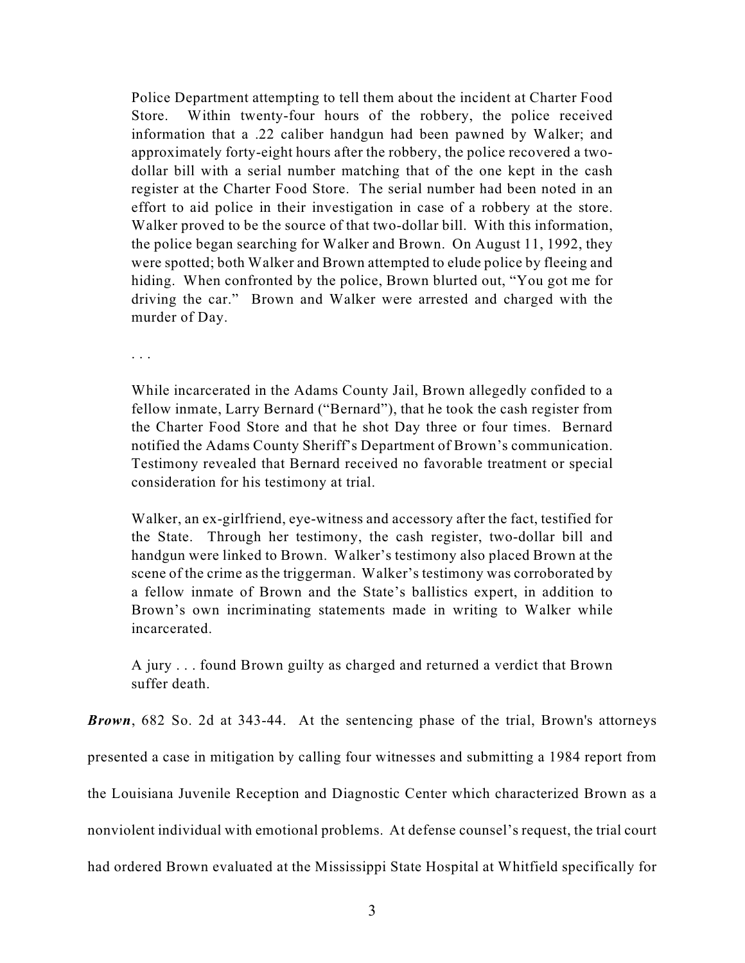Police Department attempting to tell them about the incident at Charter Food Store. Within twenty-four hours of the robbery, the police received information that a .22 caliber handgun had been pawned by Walker; and approximately forty-eight hours after the robbery, the police recovered a twodollar bill with a serial number matching that of the one kept in the cash register at the Charter Food Store. The serial number had been noted in an effort to aid police in their investigation in case of a robbery at the store. Walker proved to be the source of that two-dollar bill. With this information, the police began searching for Walker and Brown. On August 11, 1992, they were spotted; both Walker and Brown attempted to elude police by fleeing and hiding. When confronted by the police, Brown blurted out, "You got me for driving the car." Brown and Walker were arrested and charged with the murder of Day.

. . .

While incarcerated in the Adams County Jail, Brown allegedly confided to a fellow inmate, Larry Bernard ("Bernard"), that he took the cash register from the Charter Food Store and that he shot Day three or four times. Bernard notified the Adams County Sheriff's Department of Brown's communication. Testimony revealed that Bernard received no favorable treatment or special consideration for his testimony at trial.

Walker, an ex-girlfriend, eye-witness and accessory after the fact, testified for the State. Through her testimony, the cash register, two-dollar bill and handgun were linked to Brown. Walker's testimony also placed Brown at the scene of the crime as the triggerman. Walker's testimony was corroborated by a fellow inmate of Brown and the State's ballistics expert, in addition to Brown's own incriminating statements made in writing to Walker while incarcerated.

A jury . . . found Brown guilty as charged and returned a verdict that Brown suffer death.

*Brown*, 682 So. 2d at 343-44. At the sentencing phase of the trial, Brown's attorneys presented a case in mitigation by calling four witnesses and submitting a 1984 report from the Louisiana Juvenile Reception and Diagnostic Center which characterized Brown as a nonviolent individual with emotional problems. At defense counsel's request, the trial court had ordered Brown evaluated at the Mississippi State Hospital at Whitfield specifically for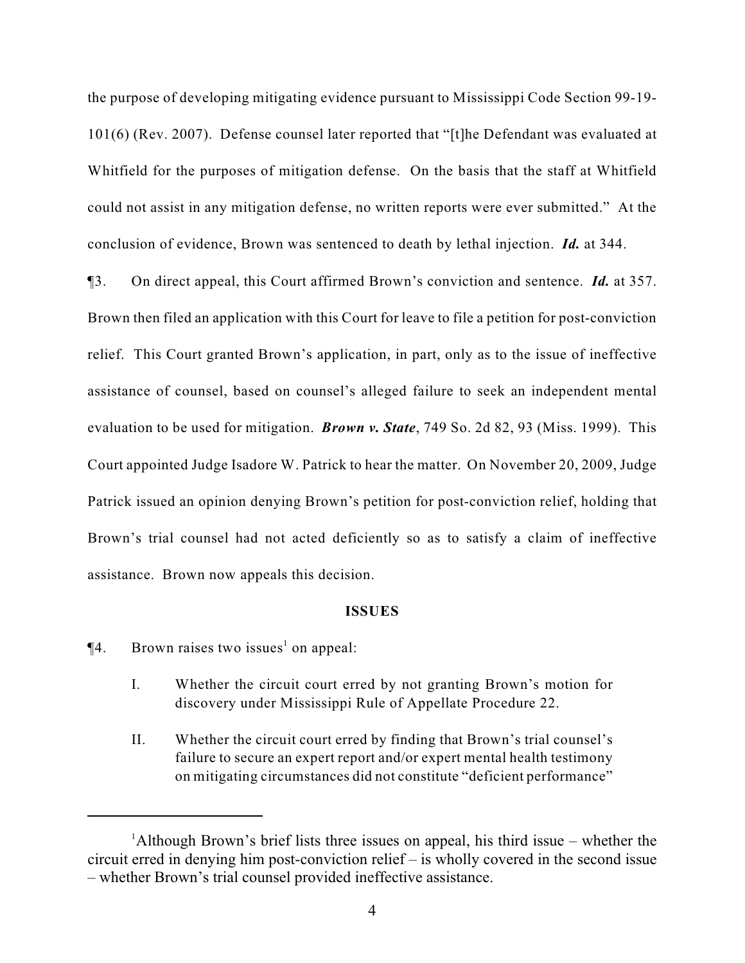the purpose of developing mitigating evidence pursuant to Mississippi Code Section 99-19- 101(6) (Rev. 2007). Defense counsel later reported that "[t]he Defendant was evaluated at Whitfield for the purposes of mitigation defense. On the basis that the staff at Whitfield could not assist in any mitigation defense, no written reports were ever submitted." At the conclusion of evidence, Brown was sentenced to death by lethal injection. *Id.* at 344.

¶3. On direct appeal, this Court affirmed Brown's conviction and sentence. *Id.* at 357. Brown then filed an application with this Court for leave to file a petition for post-conviction relief. This Court granted Brown's application, in part, only as to the issue of ineffective assistance of counsel, based on counsel's alleged failure to seek an independent mental evaluation to be used for mitigation. *Brown v. State*, 749 So. 2d 82, 93 (Miss. 1999). This Court appointed Judge Isadore W. Patrick to hear the matter. On November 20, 2009, Judge Patrick issued an opinion denying Brown's petition for post-conviction relief, holding that Brown's trial counsel had not acted deficiently so as to satisfy a claim of ineffective assistance. Brown now appeals this decision.

#### **ISSUES**

 $\P$ 4. Brown raises two issues<sup>1</sup> on appeal:

- I. Whether the circuit court erred by not granting Brown's motion for discovery under Mississippi Rule of Appellate Procedure 22.
- II. Whether the circuit court erred by finding that Brown's trial counsel's failure to secure an expert report and/or expert mental health testimony on mitigating circumstances did not constitute "deficient performance"

<sup>&</sup>lt;sup>1</sup>Although Brown's brief lists three issues on appeal, his third issue – whether the circuit erred in denying him post-conviction relief – is wholly covered in the second issue – whether Brown's trial counsel provided ineffective assistance.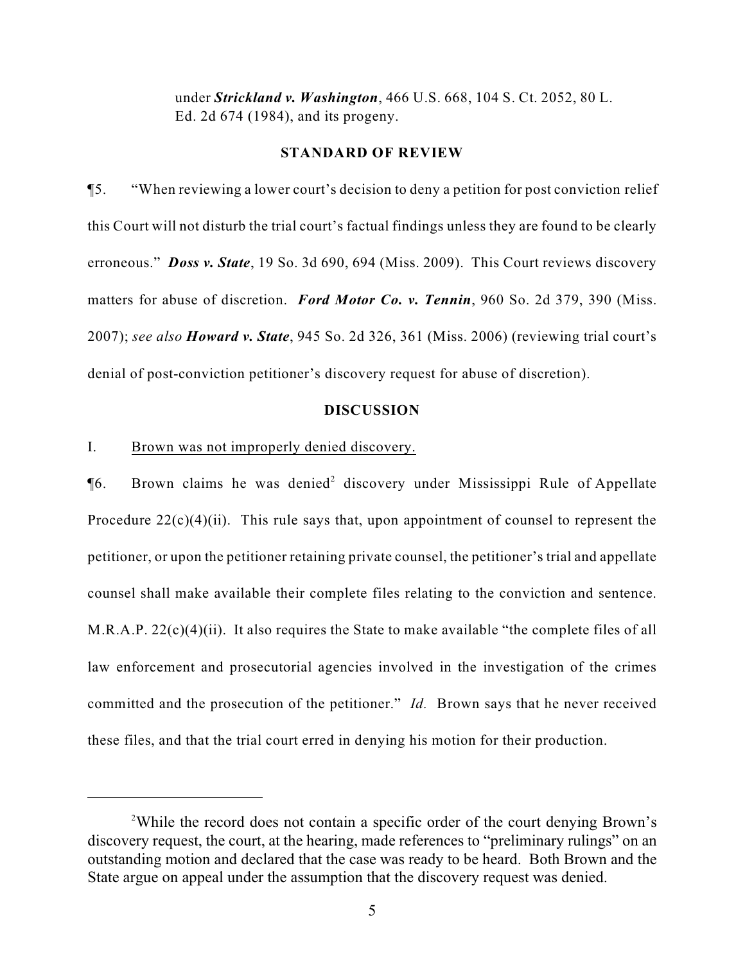under *Strickland v. Washington*, 466 U.S. 668, 104 S. Ct. 2052, 80 L. Ed. 2d 674 (1984), and its progeny.

#### **STANDARD OF REVIEW**

¶5. "When reviewing a lower court's decision to deny a petition for post conviction relief this Court will not disturb the trial court's factual findings unless they are found to be clearly erroneous." *Doss v. State*, 19 So. 3d 690, 694 (Miss. 2009). This Court reviews discovery matters for abuse of discretion. *Ford Motor Co. v. Tennin*, 960 So. 2d 379, 390 (Miss. 2007); *see also Howard v. State*, 945 So. 2d 326, 361 (Miss. 2006) (reviewing trial court's denial of post-conviction petitioner's discovery request for abuse of discretion).

#### **DISCUSSION**

#### I. Brown was not improperly denied discovery.

 $\P6$ . Brown claims he was denied<sup>2</sup> discovery under Mississippi Rule of Appellate Procedure  $22(c)(4)(ii)$ . This rule says that, upon appointment of counsel to represent the petitioner, or upon the petitioner retaining private counsel, the petitioner's trial and appellate counsel shall make available their complete files relating to the conviction and sentence. M.R.A.P. 22(c)(4)(ii). It also requires the State to make available "the complete files of all law enforcement and prosecutorial agencies involved in the investigation of the crimes committed and the prosecution of the petitioner." *Id.* Brown says that he never received these files, and that the trial court erred in denying his motion for their production.

<sup>&</sup>lt;sup>2</sup>While the record does not contain a specific order of the court denying Brown's discovery request, the court, at the hearing, made references to "preliminary rulings" on an outstanding motion and declared that the case was ready to be heard. Both Brown and the State argue on appeal under the assumption that the discovery request was denied.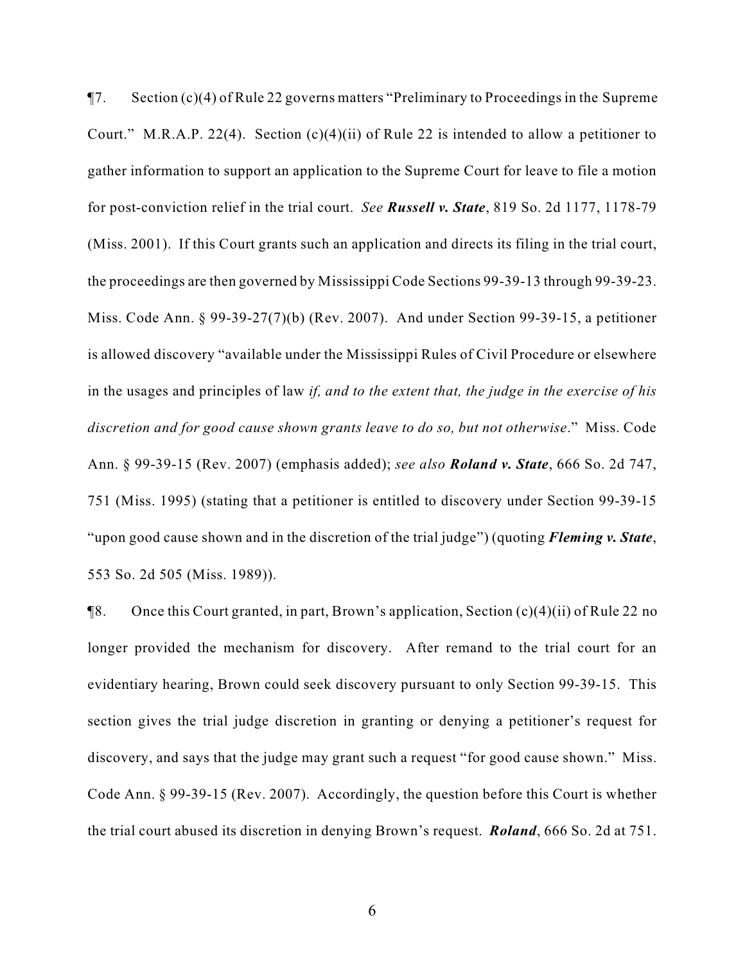¶7. Section (c)(4) of Rule 22 governs matters "Preliminary to Proceedings in the Supreme Court." M.R.A.P. 22(4). Section  $(c)(4)(ii)$  of Rule 22 is intended to allow a petitioner to gather information to support an application to the Supreme Court for leave to file a motion for post-conviction relief in the trial court. *See Russell v. State*, 819 So. 2d 1177, 1178-79 (Miss. 2001). If this Court grants such an application and directs its filing in the trial court, the proceedings are then governed by Mississippi Code Sections 99-39-13 through 99-39-23. Miss. Code Ann. § 99-39-27(7)(b) (Rev. 2007). And under Section 99-39-15, a petitioner is allowed discovery "available under the Mississippi Rules of Civil Procedure or elsewhere in the usages and principles of law *if, and to the extent that, the judge in the exercise of his discretion and for good cause shown grants leave to do so, but not otherwise*." Miss. Code Ann. § 99-39-15 (Rev. 2007) (emphasis added); *see also Roland v. State*, 666 So. 2d 747, 751 (Miss. 1995) (stating that a petitioner is entitled to discovery under Section 99-39-15 "upon good cause shown and in the discretion of the trial judge") (quoting *Fleming v. State*, 553 So. 2d 505 (Miss. 1989)).

¶8. Once this Court granted, in part, Brown's application, Section (c)(4)(ii) of Rule 22 no longer provided the mechanism for discovery. After remand to the trial court for an evidentiary hearing, Brown could seek discovery pursuant to only Section 99-39-15. This section gives the trial judge discretion in granting or denying a petitioner's request for discovery, and says that the judge may grant such a request "for good cause shown." Miss. Code Ann. § 99-39-15 (Rev. 2007). Accordingly, the question before this Court is whether the trial court abused its discretion in denying Brown's request. *Roland*, 666 So. 2d at 751.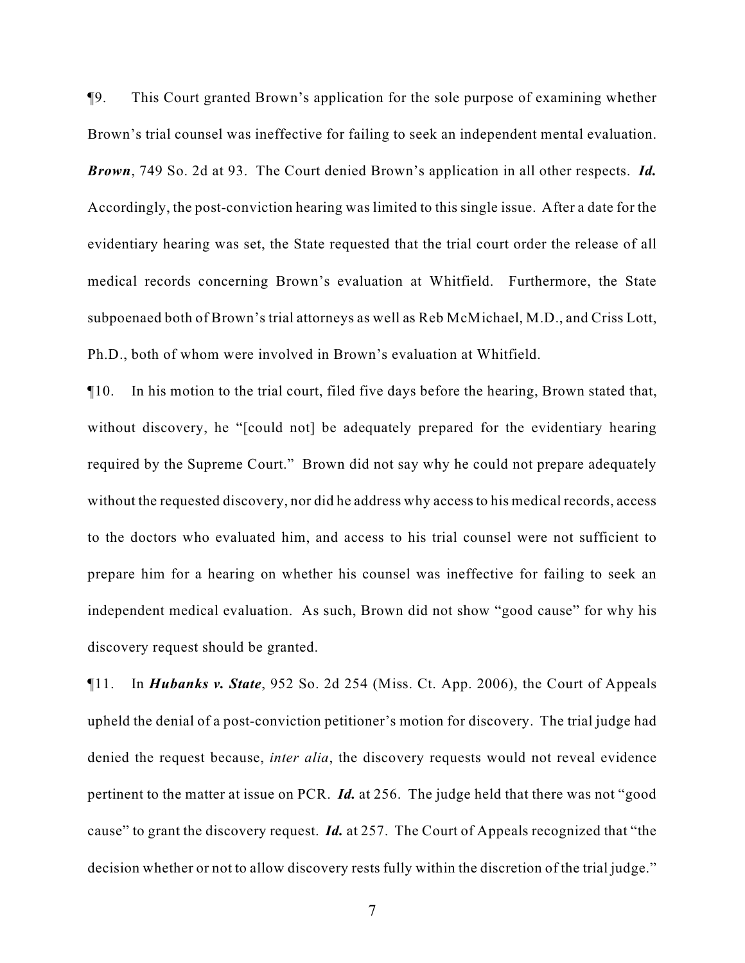¶9. This Court granted Brown's application for the sole purpose of examining whether Brown's trial counsel was ineffective for failing to seek an independent mental evaluation. *Brown*, 749 So. 2d at 93. The Court denied Brown's application in all other respects. *Id.* Accordingly, the post-conviction hearing was limited to this single issue. After a date for the evidentiary hearing was set, the State requested that the trial court order the release of all medical records concerning Brown's evaluation at Whitfield. Furthermore, the State subpoenaed both of Brown's trial attorneys as well as Reb McMichael, M.D., and Criss Lott, Ph.D., both of whom were involved in Brown's evaluation at Whitfield.

¶10. In his motion to the trial court, filed five days before the hearing, Brown stated that, without discovery, he "[could not] be adequately prepared for the evidentiary hearing required by the Supreme Court." Brown did not say why he could not prepare adequately without the requested discovery, nor did he address why access to his medical records, access to the doctors who evaluated him, and access to his trial counsel were not sufficient to prepare him for a hearing on whether his counsel was ineffective for failing to seek an independent medical evaluation. As such, Brown did not show "good cause" for why his discovery request should be granted.

¶11. In *Hubanks v. State*, 952 So. 2d 254 (Miss. Ct. App. 2006), the Court of Appeals upheld the denial of a post-conviction petitioner's motion for discovery. The trial judge had denied the request because, *inter alia*, the discovery requests would not reveal evidence pertinent to the matter at issue on PCR. *Id.* at 256. The judge held that there was not "good cause" to grant the discovery request. *Id.* at 257. The Court of Appeals recognized that "the decision whether or not to allow discovery rests fully within the discretion of the trial judge."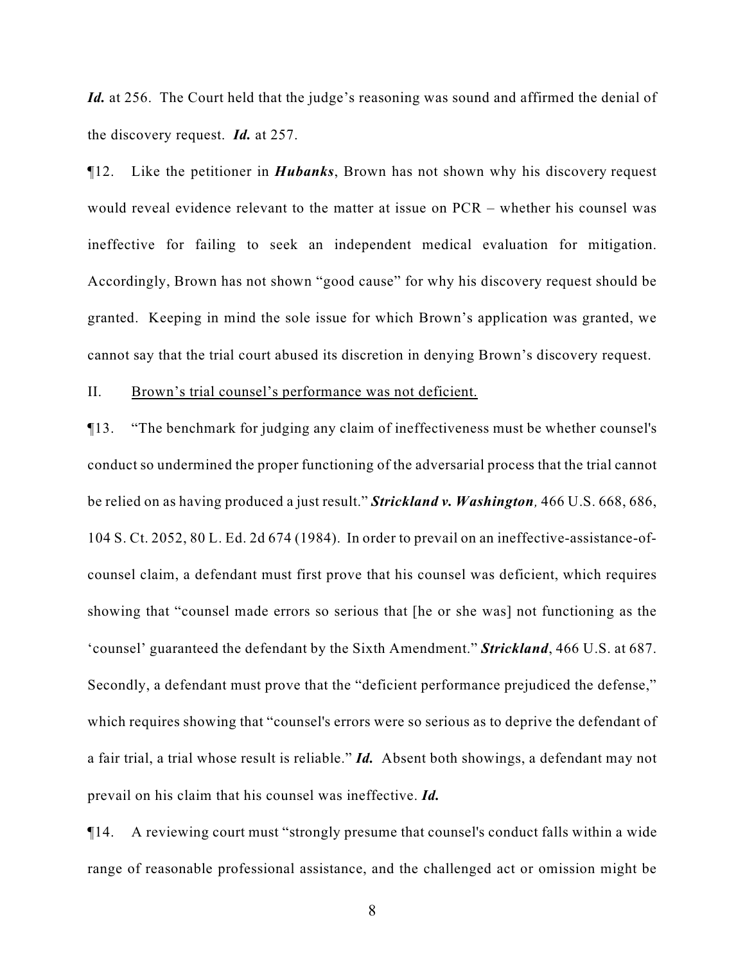Id. at 256. The Court held that the judge's reasoning was sound and affirmed the denial of the discovery request. *Id.* at 257.

¶12. Like the petitioner in *Hubanks*, Brown has not shown why his discovery request would reveal evidence relevant to the matter at issue on PCR – whether his counsel was ineffective for failing to seek an independent medical evaluation for mitigation. Accordingly, Brown has not shown "good cause" for why his discovery request should be granted. Keeping in mind the sole issue for which Brown's application was granted, we cannot say that the trial court abused its discretion in denying Brown's discovery request.

#### II. Brown's trial counsel's performance was not deficient.

¶13. "The benchmark for judging any claim of ineffectiveness must be whether counsel's conduct so undermined the proper functioning of the adversarial process that the trial cannot be relied on as having produced a just result." *Strickland v. Washington,* 466 U.S. 668, 686, 104 S. Ct. 2052, 80 L. Ed. 2d 674 (1984). In order to prevail on an ineffective-assistance-ofcounsel claim, a defendant must first prove that his counsel was deficient, which requires showing that "counsel made errors so serious that [he or she was] not functioning as the 'counsel' guaranteed the defendant by the Sixth Amendment." *Strickland*, 466 U.S. at 687. Secondly, a defendant must prove that the "deficient performance prejudiced the defense," which requires showing that "counsel's errors were so serious as to deprive the defendant of a fair trial, a trial whose result is reliable." *Id.* Absent both showings, a defendant may not prevail on his claim that his counsel was ineffective. *Id.*

¶14. A reviewing court must "strongly presume that counsel's conduct falls within a wide range of reasonable professional assistance, and the challenged act or omission might be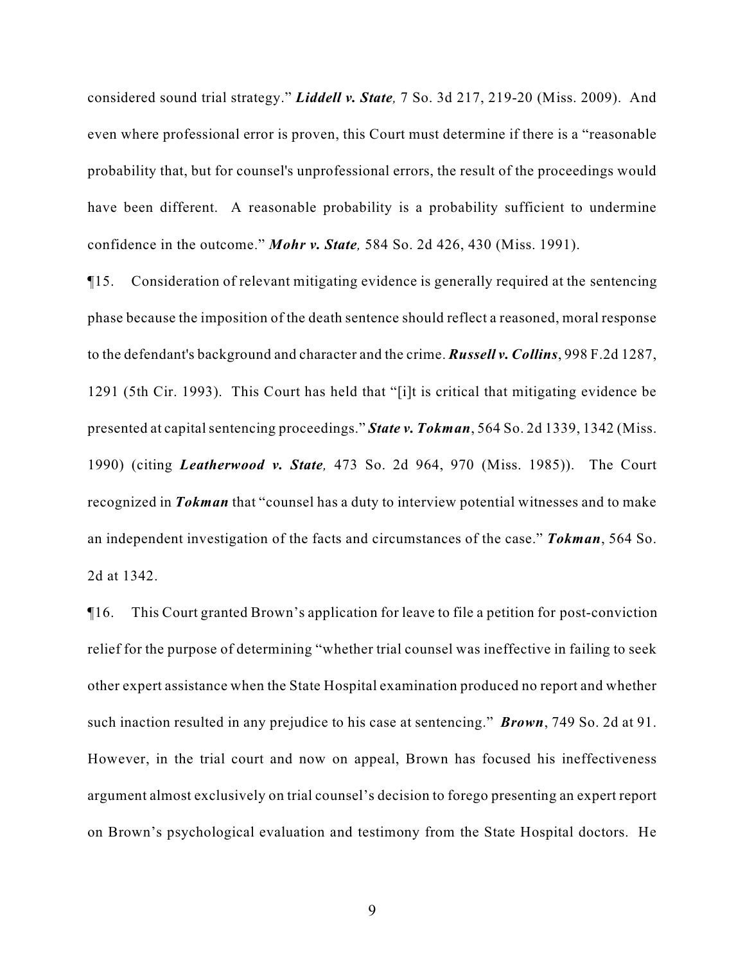considered sound trial strategy." *Liddell v. State,* 7 So. 3d 217, 219-20 (Miss. 2009). And even where professional error is proven, this Court must determine if there is a "reasonable probability that, but for counsel's unprofessional errors, the result of the proceedings would have been different. A reasonable probability is a probability sufficient to undermine confidence in the outcome." *Mohr v. State,* 584 So. 2d 426, 430 (Miss. 1991).

¶15. Consideration of relevant mitigating evidence is generally required at the sentencing phase because the imposition of the death sentence should reflect a reasoned, moral response to the defendant's background and character and the crime. *Russell v. Collins*, 998 F.2d 1287, 1291 (5th Cir. 1993). This Court has held that "[i]t is critical that mitigating evidence be presented at capital sentencing proceedings." *State v. Tokman*, 564 So. 2d 1339, 1342 (Miss. 1990) (citing *Leatherwood v. State,* 473 So. 2d 964, 970 (Miss. 1985)). The Court recognized in *Tokman* that "counsel has a duty to interview potential witnesses and to make an independent investigation of the facts and circumstances of the case." *Tokman*, 564 So. 2d at 1342.

¶16. This Court granted Brown's application for leave to file a petition for post-conviction relief for the purpose of determining "whether trial counsel was ineffective in failing to seek other expert assistance when the State Hospital examination produced no report and whether such inaction resulted in any prejudice to his case at sentencing." *Brown*, 749 So. 2d at 91. However, in the trial court and now on appeal, Brown has focused his ineffectiveness argument almost exclusively on trial counsel's decision to forego presenting an expert report on Brown's psychological evaluation and testimony from the State Hospital doctors. He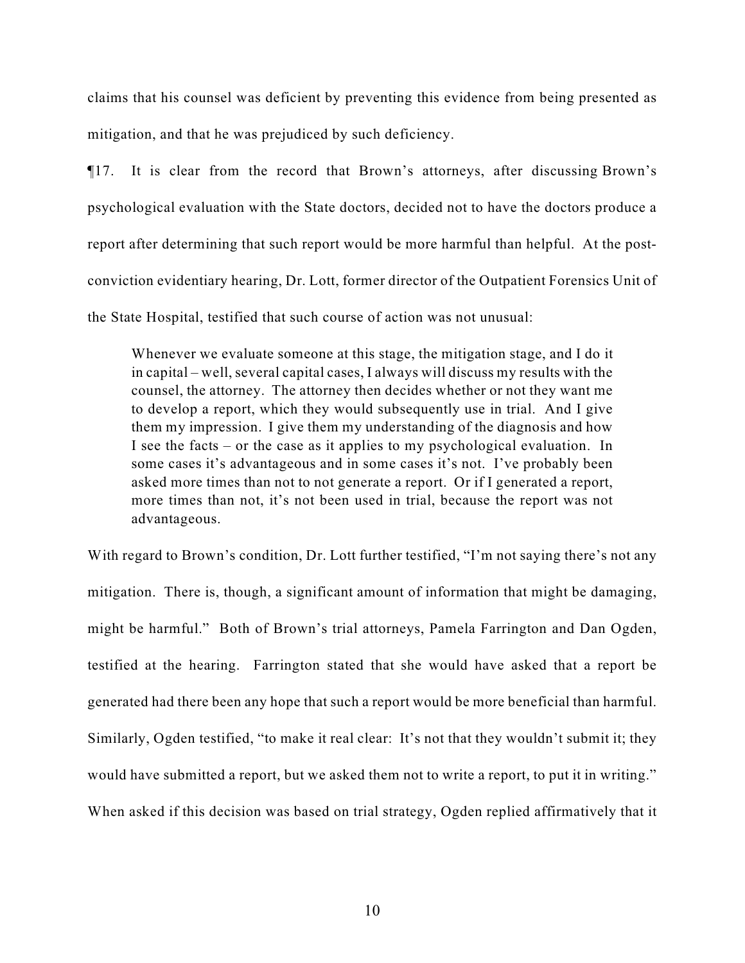claims that his counsel was deficient by preventing this evidence from being presented as mitigation, and that he was prejudiced by such deficiency.

¶17. It is clear from the record that Brown's attorneys, after discussing Brown's psychological evaluation with the State doctors, decided not to have the doctors produce a report after determining that such report would be more harmful than helpful. At the postconviction evidentiary hearing, Dr. Lott, former director of the Outpatient Forensics Unit of the State Hospital, testified that such course of action was not unusual:

Whenever we evaluate someone at this stage, the mitigation stage, and I do it in capital – well, several capital cases, I always will discuss my results with the counsel, the attorney. The attorney then decides whether or not they want me to develop a report, which they would subsequently use in trial. And I give them my impression. I give them my understanding of the diagnosis and how I see the facts – or the case as it applies to my psychological evaluation. In some cases it's advantageous and in some cases it's not. I've probably been asked more times than not to not generate a report. Or if I generated a report, more times than not, it's not been used in trial, because the report was not advantageous.

With regard to Brown's condition, Dr. Lott further testified, "I'm not saying there's not any mitigation. There is, though, a significant amount of information that might be damaging, might be harmful." Both of Brown's trial attorneys, Pamela Farrington and Dan Ogden, testified at the hearing. Farrington stated that she would have asked that a report be generated had there been any hope that such a report would be more beneficial than harmful. Similarly, Ogden testified, "to make it real clear: It's not that they wouldn't submit it; they would have submitted a report, but we asked them not to write a report, to put it in writing." When asked if this decision was based on trial strategy, Ogden replied affirmatively that it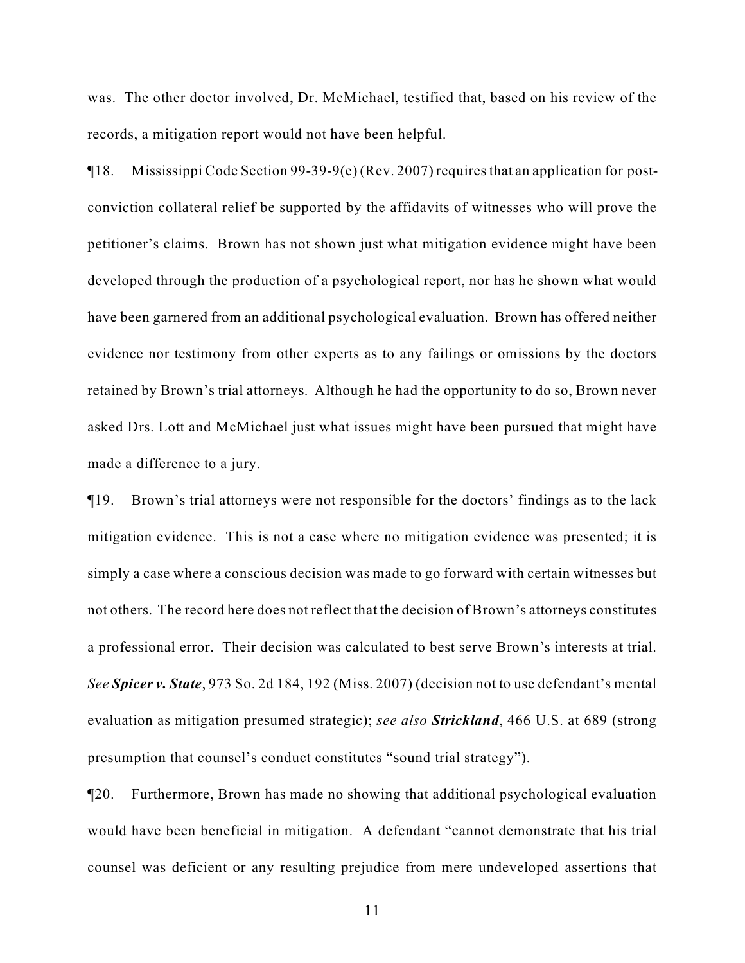was. The other doctor involved, Dr. McMichael, testified that, based on his review of the records, a mitigation report would not have been helpful.

¶18. Mississippi Code Section 99-39-9(e) (Rev. 2007) requires that an application for postconviction collateral relief be supported by the affidavits of witnesses who will prove the petitioner's claims. Brown has not shown just what mitigation evidence might have been developed through the production of a psychological report, nor has he shown what would have been garnered from an additional psychological evaluation. Brown has offered neither evidence nor testimony from other experts as to any failings or omissions by the doctors retained by Brown's trial attorneys. Although he had the opportunity to do so, Brown never asked Drs. Lott and McMichael just what issues might have been pursued that might have made a difference to a jury.

¶19. Brown's trial attorneys were not responsible for the doctors' findings as to the lack mitigation evidence. This is not a case where no mitigation evidence was presented; it is simply a case where a conscious decision was made to go forward with certain witnesses but not others. The record here does not reflect that the decision of Brown's attorneys constitutes a professional error. Their decision was calculated to best serve Brown's interests at trial. *See Spicer v. State*, 973 So. 2d 184, 192 (Miss. 2007) (decision not to use defendant's mental evaluation as mitigation presumed strategic); *see also Strickland*, 466 U.S. at 689 (strong presumption that counsel's conduct constitutes "sound trial strategy").

¶20. Furthermore, Brown has made no showing that additional psychological evaluation would have been beneficial in mitigation. A defendant "cannot demonstrate that his trial counsel was deficient or any resulting prejudice from mere undeveloped assertions that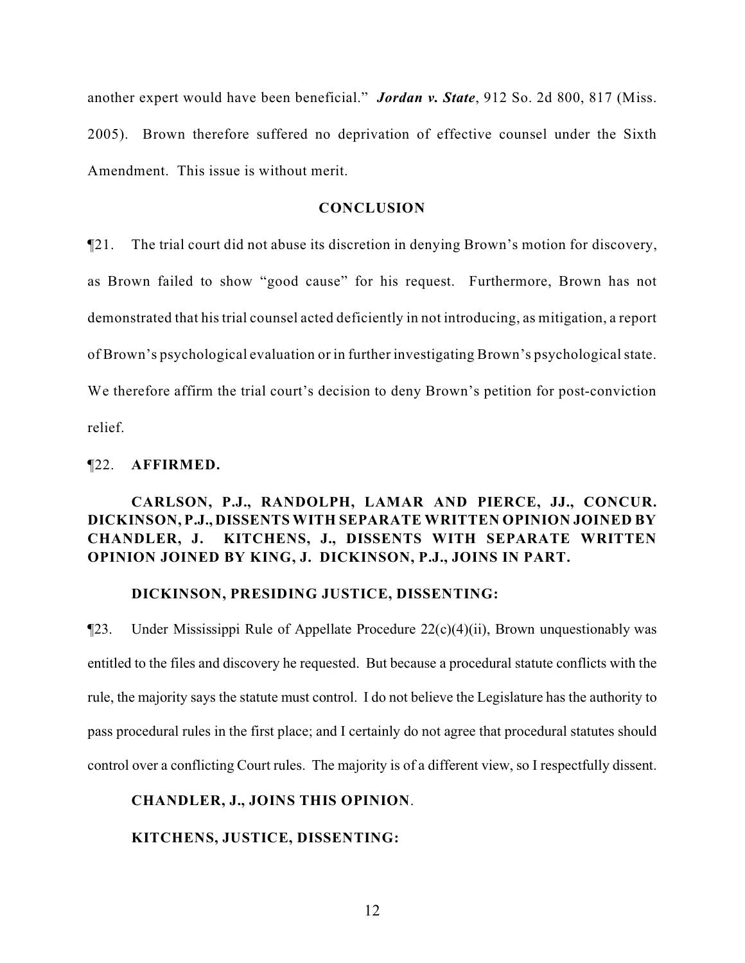another expert would have been beneficial." *Jordan v. State*, 912 So. 2d 800, 817 (Miss. 2005). Brown therefore suffered no deprivation of effective counsel under the Sixth Amendment. This issue is without merit.

# **CONCLUSION**

¶21. The trial court did not abuse its discretion in denying Brown's motion for discovery, as Brown failed to show "good cause" for his request. Furthermore, Brown has not demonstrated that his trial counsel acted deficiently in not introducing, as mitigation, a report of Brown's psychological evaluation or in further investigating Brown's psychological state. We therefore affirm the trial court's decision to deny Brown's petition for post-conviction relief.

#### ¶22. **AFFIRMED.**

# **CARLSON, P.J., RANDOLPH, LAMAR AND PIERCE, JJ., CONCUR. DICKINSON, P.J., DISSENTS WITH SEPARATE WRITTEN OPINION JOINED BY CHANDLER, J. KITCHENS, J., DISSENTS WITH SEPARATE WRITTEN OPINION JOINED BY KING, J. DICKINSON, P.J., JOINS IN PART.**

#### **DICKINSON, PRESIDING JUSTICE, DISSENTING:**

 $\P$ 23. Under Mississippi Rule of Appellate Procedure 22(c)(4)(ii), Brown unquestionably was entitled to the files and discovery he requested. But because a procedural statute conflicts with the rule, the majority says the statute must control. I do not believe the Legislature has the authority to pass procedural rules in the first place; and I certainly do not agree that procedural statutes should control over a conflicting Court rules. The majority is of a different view, so I respectfully dissent.

#### **CHANDLER, J., JOINS THIS OPINION**.

# **KITCHENS, JUSTICE, DISSENTING:**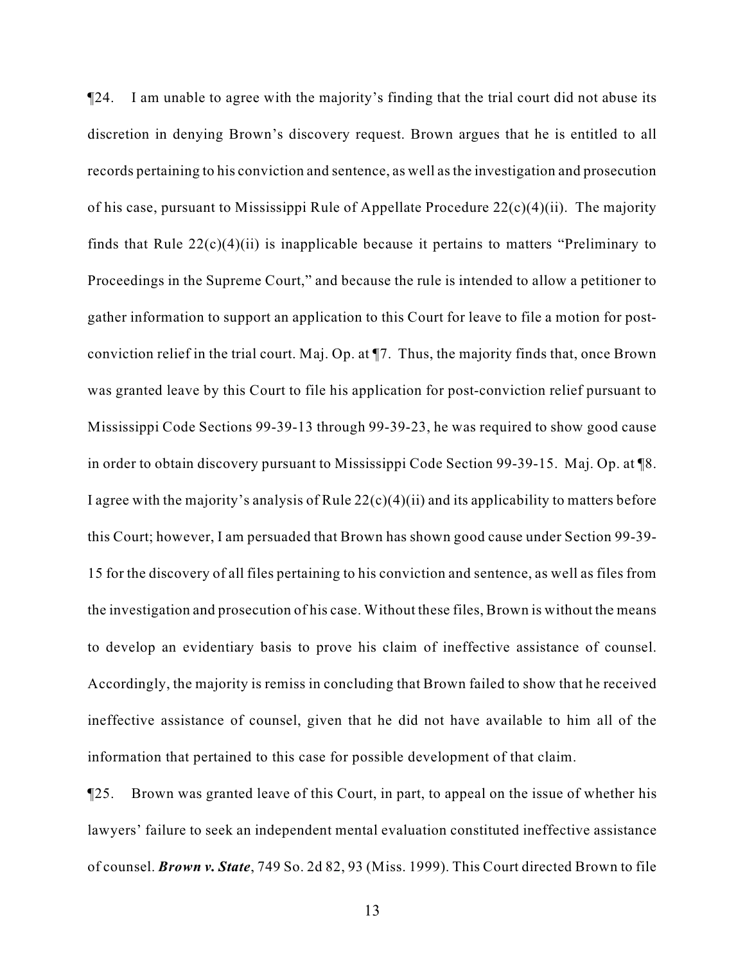¶24. I am unable to agree with the majority's finding that the trial court did not abuse its discretion in denying Brown's discovery request. Brown argues that he is entitled to all records pertaining to his conviction and sentence, as well as the investigation and prosecution of his case, pursuant to Mississippi Rule of Appellate Procedure 22(c)(4)(ii). The majority finds that Rule  $22(c)(4)(ii)$  is inapplicable because it pertains to matters "Preliminary to Proceedings in the Supreme Court," and because the rule is intended to allow a petitioner to gather information to support an application to this Court for leave to file a motion for postconviction relief in the trial court. Maj. Op. at ¶7. Thus, the majority finds that, once Brown was granted leave by this Court to file his application for post-conviction relief pursuant to Mississippi Code Sections 99-39-13 through 99-39-23, he was required to show good cause in order to obtain discovery pursuant to Mississippi Code Section 99-39-15. Maj. Op. at ¶8. I agree with the majority's analysis of Rule  $22(c)(4)(ii)$  and its applicability to matters before this Court; however, I am persuaded that Brown has shown good cause under Section 99-39- 15 for the discovery of all files pertaining to his conviction and sentence, as well as files from the investigation and prosecution of his case. Without these files, Brown is without the means to develop an evidentiary basis to prove his claim of ineffective assistance of counsel. Accordingly, the majority is remiss in concluding that Brown failed to show that he received ineffective assistance of counsel, given that he did not have available to him all of the information that pertained to this case for possible development of that claim.

¶25. Brown was granted leave of this Court, in part, to appeal on the issue of whether his lawyers' failure to seek an independent mental evaluation constituted ineffective assistance of counsel. *Brown v. State*, 749 So. 2d 82, 93 (Miss. 1999). This Court directed Brown to file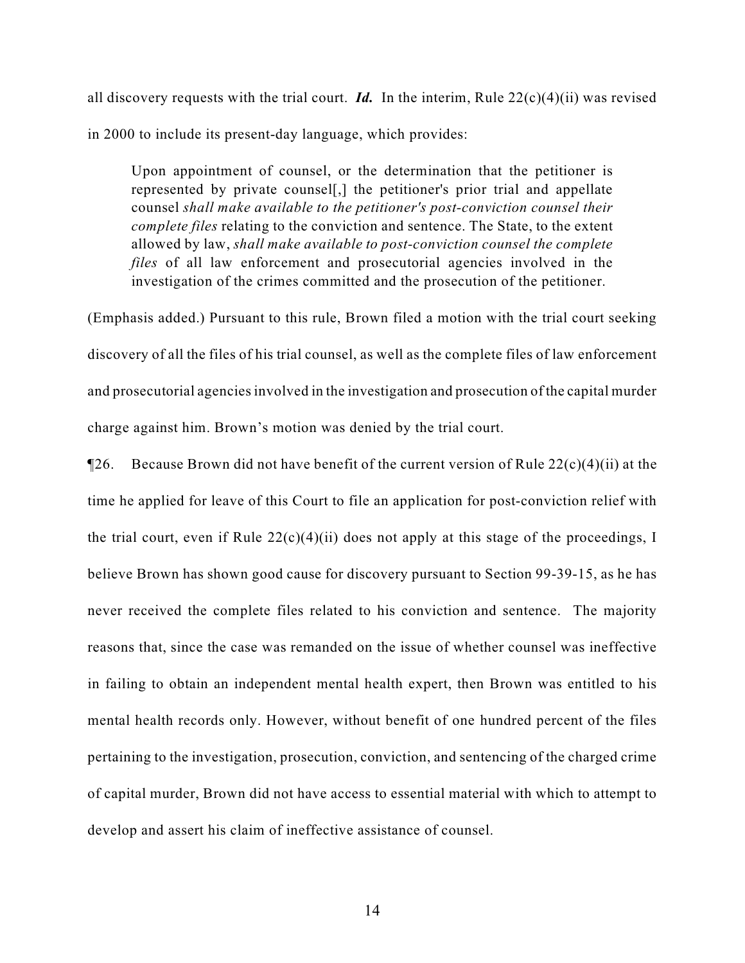all discovery requests with the trial court. *Id.* In the interim, Rule 22(c)(4)(ii) was revised in 2000 to include its present-day language, which provides:

Upon appointment of counsel, or the determination that the petitioner is represented by private counsel[,] the petitioner's prior trial and appellate counsel *shall make available to the petitioner's post-conviction counsel their complete files* relating to the conviction and sentence. The State, to the extent allowed by law, *shall make available to post-conviction counsel the complete files* of all law enforcement and prosecutorial agencies involved in the investigation of the crimes committed and the prosecution of the petitioner.

(Emphasis added.) Pursuant to this rule, Brown filed a motion with the trial court seeking discovery of all the files of his trial counsel, as well as the complete files of law enforcement and prosecutorial agencies involved in the investigation and prosecution of the capital murder charge against him. Brown's motion was denied by the trial court.

**The Equal T**26. Because Brown did not have benefit of the current version of Rule  $22(c)(4)(ii)$  at the time he applied for leave of this Court to file an application for post-conviction relief with the trial court, even if Rule  $22(c)(4)(ii)$  does not apply at this stage of the proceedings, I believe Brown has shown good cause for discovery pursuant to Section 99-39-15, as he has never received the complete files related to his conviction and sentence. The majority reasons that, since the case was remanded on the issue of whether counsel was ineffective in failing to obtain an independent mental health expert, then Brown was entitled to his mental health records only. However, without benefit of one hundred percent of the files pertaining to the investigation, prosecution, conviction, and sentencing of the charged crime of capital murder, Brown did not have access to essential material with which to attempt to develop and assert his claim of ineffective assistance of counsel.